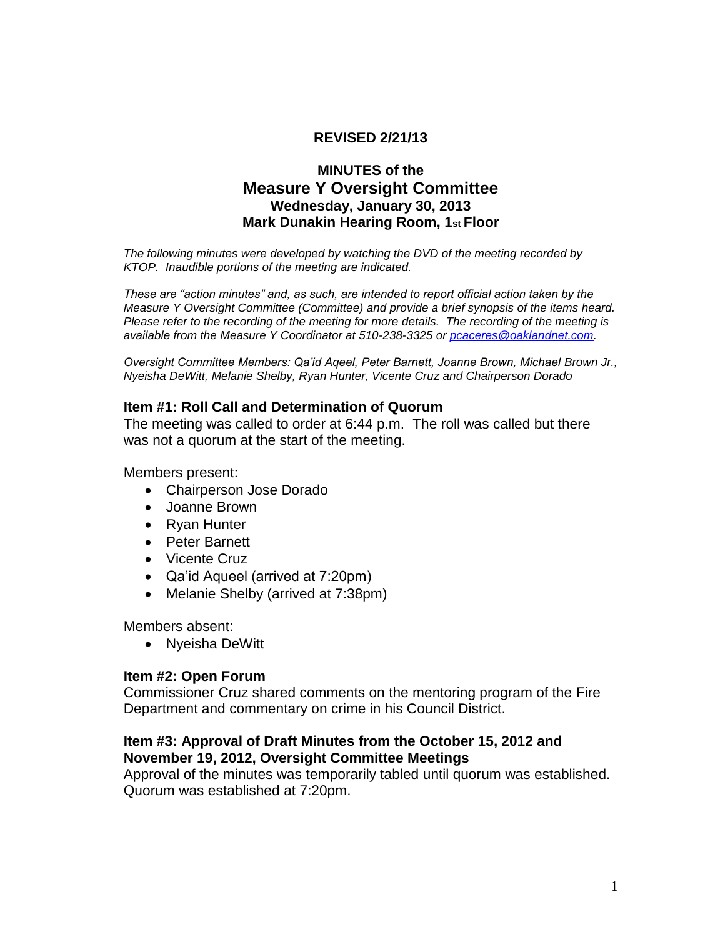# **REVISED 2/21/13**

# **MINUTES of the Measure Y Oversight Committee Wednesday, January 30, 2013 Mark Dunakin Hearing Room, 1st Floor**

*The following minutes were developed by watching the DVD of the meeting recorded by KTOP. Inaudible portions of the meeting are indicated.* 

*These are "action minutes" and, as such, are intended to report official action taken by the Measure Y Oversight Committee (Committee) and provide a brief synopsis of the items heard. Please refer to the recording of the meeting for more details. The recording of the meeting is available from the Measure Y Coordinator at 510-238-3325 or [pcaceres@oaklandnet.com.](mailto:pcaceres@oaklandnet.com)* 

*Oversight Committee Members: Qa'id Aqeel, Peter Barnett, Joanne Brown, Michael Brown Jr., Nyeisha DeWitt, Melanie Shelby, Ryan Hunter, Vicente Cruz and Chairperson Dorado*

#### **Item #1: Roll Call and Determination of Quorum**

The meeting was called to order at 6:44 p.m. The roll was called but there was not a quorum at the start of the meeting.

Members present:

- Chairperson Jose Dorado
- Joanne Brown
- Ryan Hunter
- Peter Barnett
- Vicente Cruz
- Qa'id Aqueel (arrived at 7:20pm)
- Melanie Shelby (arrived at 7:38pm)

Members absent:

• Nyeisha DeWitt

#### **Item #2: Open Forum**

Commissioner Cruz shared comments on the mentoring program of the Fire Department and commentary on crime in his Council District.

### **Item #3: Approval of Draft Minutes from the October 15, 2012 and November 19, 2012, Oversight Committee Meetings**

Approval of the minutes was temporarily tabled until quorum was established. Quorum was established at 7:20pm.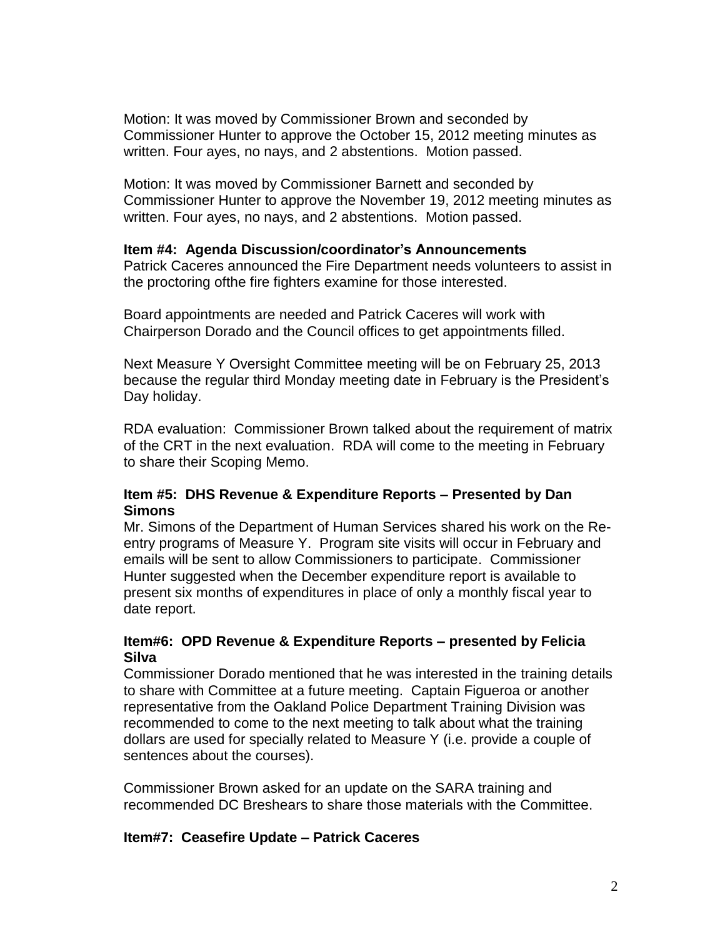Motion: It was moved by Commissioner Brown and seconded by Commissioner Hunter to approve the October 15, 2012 meeting minutes as written. Four ayes, no nays, and 2 abstentions. Motion passed.

Motion: It was moved by Commissioner Barnett and seconded by Commissioner Hunter to approve the November 19, 2012 meeting minutes as written. Four ayes, no nays, and 2 abstentions. Motion passed.

### **Item #4: Agenda Discussion/coordinator's Announcements**

Patrick Caceres announced the Fire Department needs volunteers to assist in the proctoring ofthe fire fighters examine for those interested.

Board appointments are needed and Patrick Caceres will work with Chairperson Dorado and the Council offices to get appointments filled.

Next Measure Y Oversight Committee meeting will be on February 25, 2013 because the regular third Monday meeting date in February is the President's Day holiday.

RDA evaluation: Commissioner Brown talked about the requirement of matrix of the CRT in the next evaluation. RDA will come to the meeting in February to share their Scoping Memo.

### **Item #5: DHS Revenue & Expenditure Reports – Presented by Dan Simons**

Mr. Simons of the Department of Human Services shared his work on the Reentry programs of Measure Y. Program site visits will occur in February and emails will be sent to allow Commissioners to participate. Commissioner Hunter suggested when the December expenditure report is available to present six months of expenditures in place of only a monthly fiscal year to date report.

### **Item#6: OPD Revenue & Expenditure Reports – presented by Felicia Silva**

Commissioner Dorado mentioned that he was interested in the training details to share with Committee at a future meeting. Captain Figueroa or another representative from the Oakland Police Department Training Division was recommended to come to the next meeting to talk about what the training dollars are used for specially related to Measure Y (i.e. provide a couple of sentences about the courses).

Commissioner Brown asked for an update on the SARA training and recommended DC Breshears to share those materials with the Committee.

### **Item#7: Ceasefire Update – Patrick Caceres**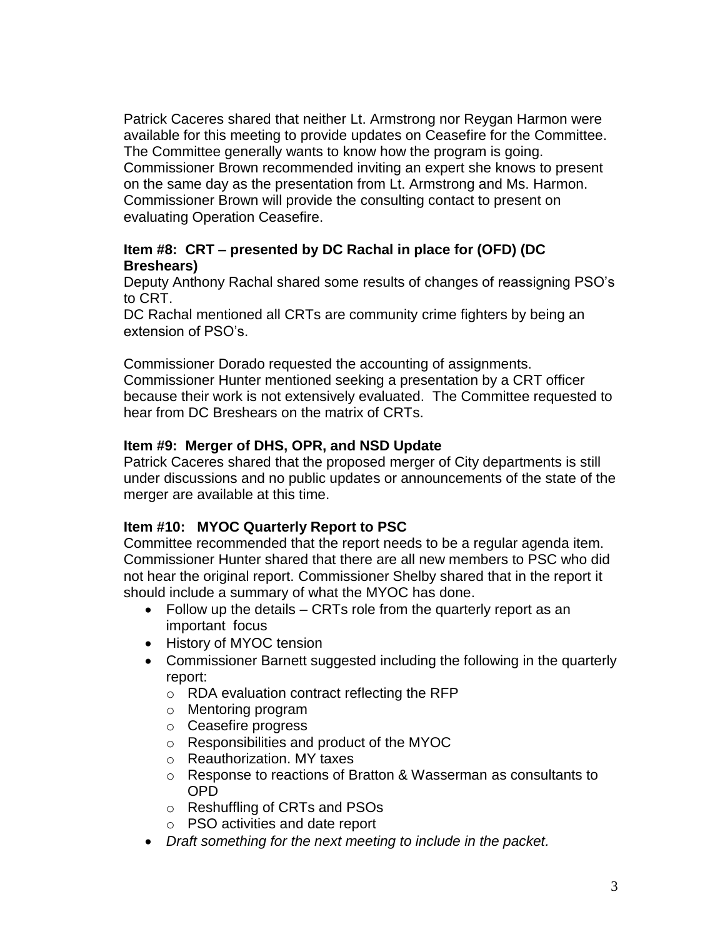Patrick Caceres shared that neither Lt. Armstrong nor Reygan Harmon were available for this meeting to provide updates on Ceasefire for the Committee. The Committee generally wants to know how the program is going. Commissioner Brown recommended inviting an expert she knows to present on the same day as the presentation from Lt. Armstrong and Ms. Harmon. Commissioner Brown will provide the consulting contact to present on evaluating Operation Ceasefire.

# **Item #8: CRT – presented by DC Rachal in place for (OFD) (DC Breshears)**

Deputy Anthony Rachal shared some results of changes of reassigning PSO's to CRT.

DC Rachal mentioned all CRTs are community crime fighters by being an extension of PSO's.

Commissioner Dorado requested the accounting of assignments. Commissioner Hunter mentioned seeking a presentation by a CRT officer because their work is not extensively evaluated. The Committee requested to hear from DC Breshears on the matrix of CRTs.

# **Item #9: Merger of DHS, OPR, and NSD Update**

Patrick Caceres shared that the proposed merger of City departments is still under discussions and no public updates or announcements of the state of the merger are available at this time.

# **Item #10: MYOC Quarterly Report to PSC**

Committee recommended that the report needs to be a regular agenda item. Commissioner Hunter shared that there are all new members to PSC who did not hear the original report. Commissioner Shelby shared that in the report it should include a summary of what the MYOC has done.

- Follow up the details CRTs role from the quarterly report as an important focus
- History of MYOC tension
- Commissioner Barnett suggested including the following in the quarterly report:
	- o RDA evaluation contract reflecting the RFP
	- o Mentoring program
	- o Ceasefire progress
	- o Responsibilities and product of the MYOC
	- o Reauthorization. MY taxes
	- o Response to reactions of Bratton & Wasserman as consultants to OPD
	- o Reshuffling of CRTs and PSOs
	- o PSO activities and date report
- *Draft something for the next meeting to include in the packet.*